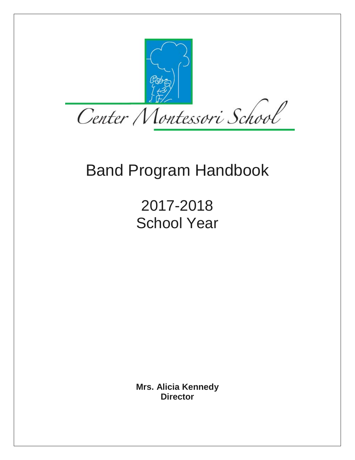

# Band Program Handbook

2017-2018 School Year

**Mrs. Alicia Kennedy Director**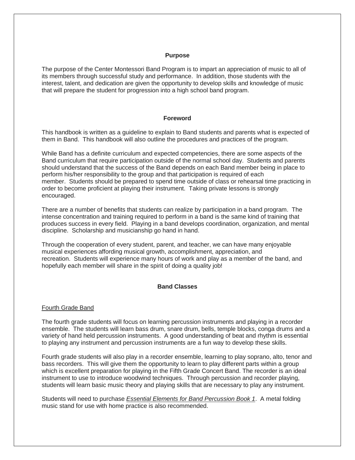#### **Purpose**

The purpose of the Center Montessori Band Program is to impart an appreciation of music to all of its members through successful study and performance. In addition, those students with the interest, talent, and dedication are given the opportunity to develop skills and knowledge of music that will prepare the student for progression into a high school band program.

### **Foreword**

This handbook is written as a guideline to explain to Band students and parents what is expected of them in Band. This handbook will also outline the procedures and practices of the program.

While Band has a definite curriculum and expected competencies, there are some aspects of the Band curriculum that require participation outside of the normal school day. Students and parents should understand that the success of the Band depends on each Band member being in place to perform his/her responsibility to the group and that participation is required of each member. Students should be prepared to spend time outside of class or rehearsal time practicing in order to become proficient at playing their instrument. Taking private lessons is strongly encouraged.

There are a number of benefits that students can realize by participation in a band program. The intense concentration and training required to perform in a band is the same kind of training that produces success in every field. Playing in a band develops coordination, organization, and mental discipline. Scholarship and musicianship go hand in hand.

Through the cooperation of every student, parent, and teacher, we can have many enjoyable musical experiences affording musical growth, accomplishment, appreciation, and recreation. Students will experience many hours of work and play as a member of the band, and hopefully each member will share in the spirit of doing a quality job!

### **Band Classes**

#### Fourth Grade Band

The fourth grade students will focus on learning percussion instruments and playing in a recorder ensemble. The students will learn bass drum, snare drum, bells, temple blocks, conga drums and a variety of hand held percussion instruments. A good understanding of beat and rhythm is essential to playing any instrument and percussion instruments are a fun way to develop these skills.

Fourth grade students will also play in a recorder ensemble, learning to play soprano, alto, tenor and bass recorders. This will give them the opportunity to learn to play different parts within a group which is excellent preparation for playing in the Fifth Grade Concert Band. The recorder is an ideal instrument to use to introduce woodwind techniques. Through percussion and recorder playing, students will learn basic music theory and playing skills that are necessary to play any instrument.

Students will need to purchase *Essential Elements for Band Percussion Book 1*. A metal folding music stand for use with home practice is also recommended.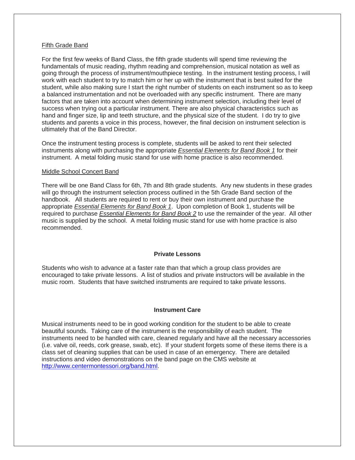#### Fifth Grade Band

For the first few weeks of Band Class, the fifth grade students will spend time reviewing the fundamentals of music reading, rhythm reading and comprehension, musical notation as well as going through the process of instrument/mouthpiece testing. In the instrument testing process, I will work with each student to try to match him or her up with the instrument that is best suited for the student, while also making sure I start the right number of students on each instrument so as to keep a balanced instrumentation and not be overloaded with any specific instrument. There are many factors that are taken into account when determining instrument selection, including their level of success when trying out a particular instrument. There are also physical characteristics such as hand and finger size, lip and teeth structure, and the physical size of the student. I do try to give students and parents a voice in this process, however, the final decision on instrument selection is ultimately that of the Band Director.

Once the instrument testing process is complete, students will be asked to rent their selected instruments along with purchasing the appropriate *Essential Elements for Band Book 1* for their instrument. A metal folding music stand for use with home practice is also recommended.

### Middle School Concert Band

There will be one Band Class for 6th, 7th and 8th grade students. Any new students in these grades will go through the instrument selection process outlined in the 5th Grade Band section of the handbook. All students are required to rent or buy their own instrument and purchase the appropriate *Essential Elements for Band Book 1*. Upon completion of Book 1, students will be required to purchase *Essential Elements for Band Book 2* to use the remainder of the year. All other music is supplied by the school. A metal folding music stand for use with home practice is also recommended.

### **Private Lessons**

Students who wish to advance at a faster rate than that which a group class provides are encouraged to take private lessons. A list of studios and private instructors will be available in the music room. Students that have switched instruments are required to take private lessons.

## **Instrument Care**

Musical instruments need to be in good working condition for the student to be able to create beautiful sounds. Taking care of the instrument is the responsibility of each student. The instruments need to be handled with care, cleaned regularly and have all the necessary accessories (i.e. valve oil, reeds, cork grease, swab, etc). If your student forgets some of these items there is a class set of cleaning supplies that can be used in case of an emergency. There are detailed instructions and video demonstrations on the band page on the CMS website at [http://www.centermontessori.org/band.html.](http://www.centermontessori.org/band.html)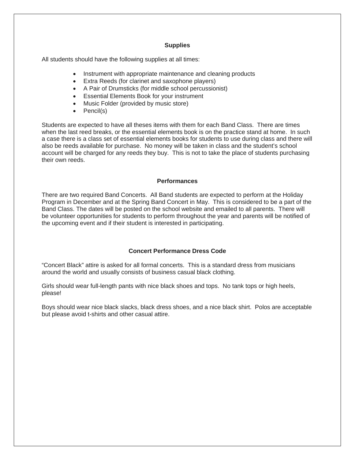### **Supplies**

All students should have the following supplies at all times:

- Instrument with appropriate maintenance and cleaning products
- Extra Reeds (for clarinet and saxophone players)
- A Pair of Drumsticks (for middle school percussionist)
- Essential Elements Book for your instrument
- Music Folder (provided by music store)
- Pencil(s)

Students are expected to have all theses items with them for each Band Class. There are times when the last reed breaks, or the essential elements book is on the practice stand at home. In such a case there is a class set of essential elements books for students to use during class and there will also be reeds available for purchase. No money will be taken in class and the student's school account will be charged for any reeds they buy. This is not to take the place of students purchasing their own reeds.

## **Performances**

There are two required Band Concerts. All Band students are expected to perform at the Holiday Program in December and at the Spring Band Concert in May. This is considered to be a part of the Band Class. The dates will be posted on the school website and emailed to all parents. There will be volunteer opportunities for students to perform throughout the year and parents will be notified of the upcoming event and if their student is interested in participating.

# **Concert Performance Dress Code**

"Concert Black" attire is asked for all formal concerts. This is a standard dress from musicians around the world and usually consists of business casual black clothing.

Girls should wear full-length pants with nice black shoes and tops. No tank tops or high heels, please!

Boys should wear nice black slacks, black dress shoes, and a nice black shirt. Polos are acceptable but please avoid t-shirts and other casual attire.